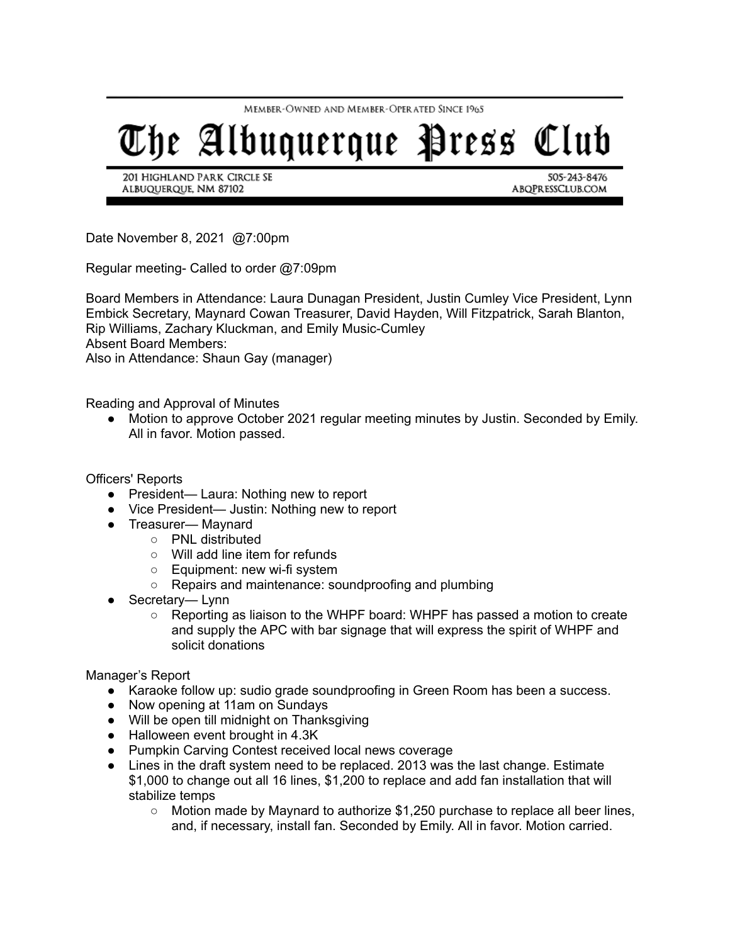MEMBER-OWNED AND MEMBER-OPERATED SINCE 1965

## The Albuquerque Press Club

201 HIGHLAND PARK CIRCLE SE ALBUQUERQUE, NM 87102

505-243-8476 ABQPRESSCLUB.COM

Date November 8, 2021 @7:00pm

Regular meeting- Called to order @7:09pm

Board Members in Attendance: Laura Dunagan President, Justin Cumley Vice President, Lynn Embick Secretary, Maynard Cowan Treasurer, David Hayden, Will Fitzpatrick, Sarah Blanton, Rip Williams, Zachary Kluckman, and Emily Music-Cumley Absent Board Members: Also in Attendance: Shaun Gay (manager)

Reading and Approval of Minutes

● Motion to approve October 2021 regular meeting minutes by Justin. Seconded by Emily. All in favor. Motion passed.

Officers' Reports

- President— Laura: Nothing new to report
- Vice President— Justin: Nothing new to report
- Treasurer— Maynard
	- PNL distributed
	- Will add line item for refunds
	- Equipment: new wi-fi system
	- Repairs and maintenance: soundproofing and plumbing
- Secretary— Lynn
	- $\circ$  Reporting as liaison to the WHPF board: WHPF has passed a motion to create and supply the APC with bar signage that will express the spirit of WHPF and solicit donations

## Manager's Report

- Karaoke follow up: sudio grade soundproofing in Green Room has been a success.
- Now opening at 11am on Sundays
- Will be open till midnight on Thanksgiving
- Halloween event brought in 4.3K
- Pumpkin Carving Contest received local news coverage
- Lines in the draft system need to be replaced. 2013 was the last change. Estimate \$1,000 to change out all 16 lines, \$1,200 to replace and add fan installation that will stabilize temps
	- $\circ$  Motion made by Maynard to authorize \$1,250 purchase to replace all beer lines, and, if necessary, install fan. Seconded by Emily. All in favor. Motion carried.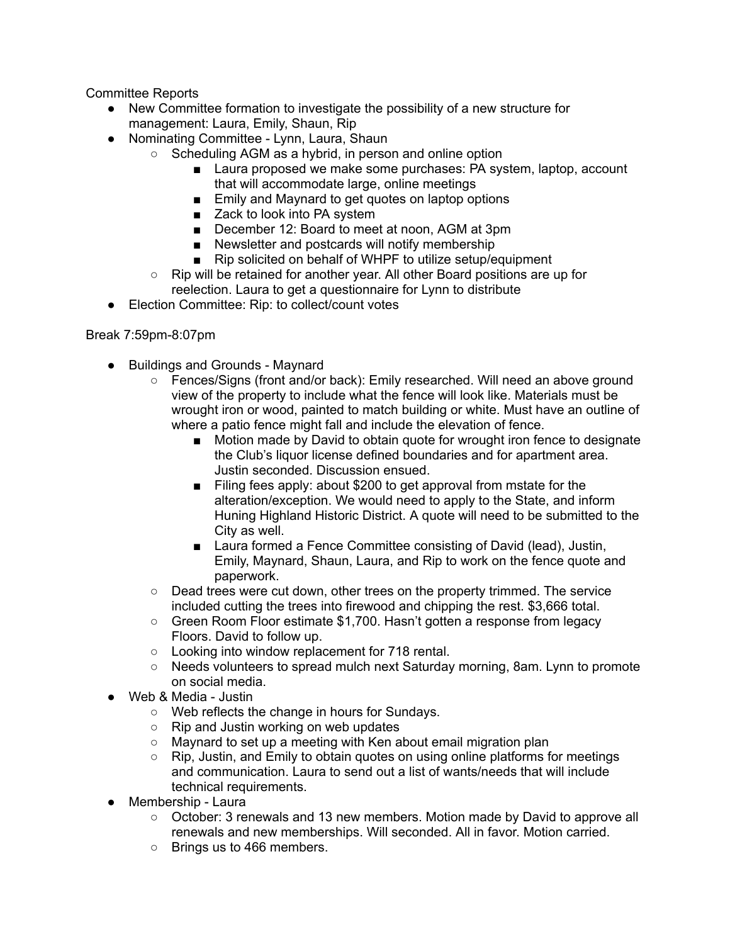Committee Reports

- New Committee formation to investigate the possibility of a new structure for management: Laura, Emily, Shaun, Rip
- Nominating Committee Lynn, Laura, Shaun
	- Scheduling AGM as a hybrid, in person and online option
		- Laura proposed we make some purchases: PA system, laptop, account that will accommodate large, online meetings
		- Emily and Maynard to get quotes on laptop options
		- Zack to look into PA system
		- December 12: Board to meet at noon, AGM at 3pm
		- Newsletter and postcards will notify membership
		- Rip solicited on behalf of WHPF to utilize setup/equipment
	- Rip will be retained for another year. All other Board positions are up for reelection. Laura to get a questionnaire for Lynn to distribute
- Election Committee: Rip: to collect/count votes

## Break 7:59pm-8:07pm

- Buildings and Grounds Maynard
	- Fences/Signs (front and/or back): Emily researched. Will need an above ground view of the property to include what the fence will look like. Materials must be wrought iron or wood, painted to match building or white. Must have an outline of where a patio fence might fall and include the elevation of fence.
		- Motion made by David to obtain quote for wrought iron fence to designate the Club's liquor license defined boundaries and for apartment area. Justin seconded. Discussion ensued.
		- Filing fees apply: about \$200 to get approval from mstate for the alteration/exception. We would need to apply to the State, and inform Huning Highland Historic District. A quote will need to be submitted to the City as well.
		- Laura formed a Fence Committee consisting of David (lead), Justin, Emily, Maynard, Shaun, Laura, and Rip to work on the fence quote and paperwork.
	- Dead trees were cut down, other trees on the property trimmed. The service included cutting the trees into firewood and chipping the rest. \$3,666 total.
	- Green Room Floor estimate \$1,700. Hasn't gotten a response from legacy Floors. David to follow up.
	- Looking into window replacement for 718 rental.
	- Needs volunteers to spread mulch next Saturday morning, 8am. Lynn to promote on social media.
- Web & Media Justin
	- Web reflects the change in hours for Sundays.
	- Rip and Justin working on web updates
	- Maynard to set up a meeting with Ken about email migration plan
	- Rip, Justin, and Emily to obtain quotes on using online platforms for meetings and communication. Laura to send out a list of wants/needs that will include technical requirements.
- Membership Laura
	- October: 3 renewals and 13 new members. Motion made by David to approve all renewals and new memberships. Will seconded. All in favor. Motion carried.
	- Brings us to 466 members.